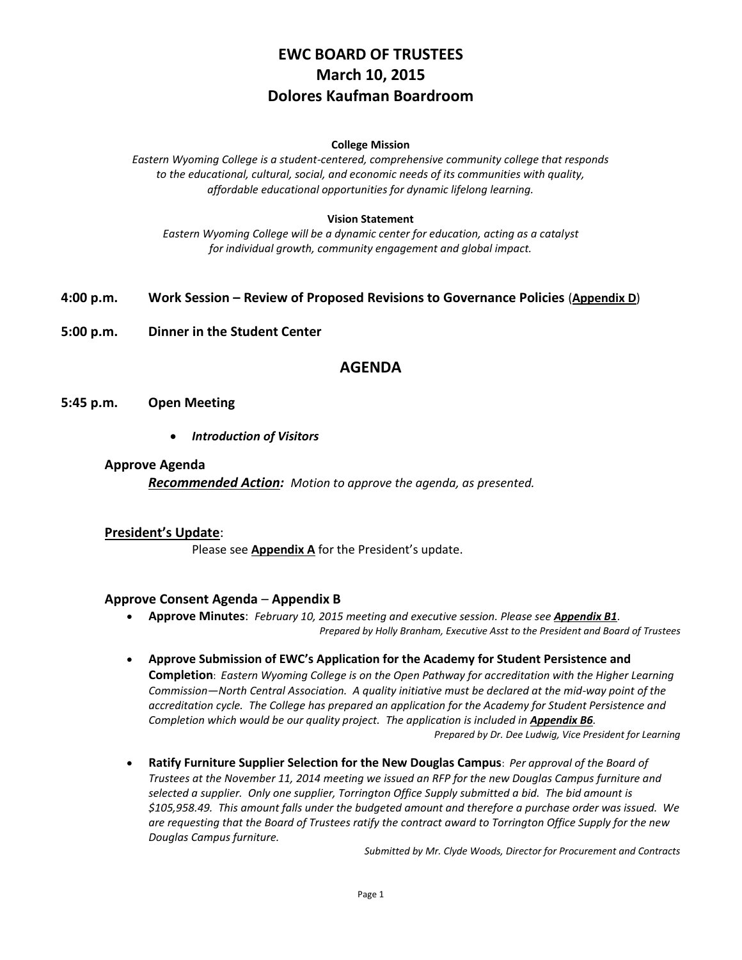# **EWC BOARD OF TRUSTEES March 10, 2015 Dolores Kaufman Boardroom**

#### **College Mission**

*Eastern Wyoming College is a student-centered, comprehensive community college that responds to the educational, cultural, social, and economic needs of its communities with quality, affordable educational opportunities for dynamic lifelong learning.*

### **Vision Statement**

*Eastern Wyoming College will be a dynamic center for education, acting as a catalyst for individual growth, community engagement and global impact.*

### **4:00 p.m. Work Session – Review of Proposed Revisions to Governance Policies** (**Appendix D**)

**5:00 p.m. Dinner in the Student Center**

# **AGENDA**

**5:45 p.m. Open Meeting**

*Introduction of Visitors*

### **Approve Agenda**

*Recommended Action: Motion to approve the agenda, as presented.*

### **President's Update**:

Please see **Appendix A** for the President's update.

### **Approve Consent Agenda** – **Appendix B**

- **Approve Minutes**: *February 10, 2015 meeting and executive session. Please see Appendix B1*. *Prepared by Holly Branham, Executive Asst to the President and Board of Trustees*
- **Approve Submission of EWC's Application for the Academy for Student Persistence and Completion**: *Eastern Wyoming College is on the Open Pathway for accreditation with the Higher Learning Commission—North Central Association. A quality initiative must be declared at the mid-way point of the accreditation cycle. The College has prepared an application for the Academy for Student Persistence and*  Completion which would be our quality project. The application is included in **Appendix B6**. *Prepared by Dr. Dee Ludwig, Vice President for Learning*
- **Ratify Furniture Supplier Selection for the New Douglas Campus**: *Per approval of the Board of Trustees at the November 11, 2014 meeting we issued an RFP for the new Douglas Campus furniture and selected a supplier. Only one supplier, Torrington Office Supply submitted a bid. The bid amount is \$105,958.49. This amount falls under the budgeted amount and therefore a purchase order was issued. We are requesting that the Board of Trustees ratify the contract award to Torrington Office Supply for the new Douglas Campus furniture.*

*Submitted by Mr. Clyde Woods, Director for Procurement and Contracts*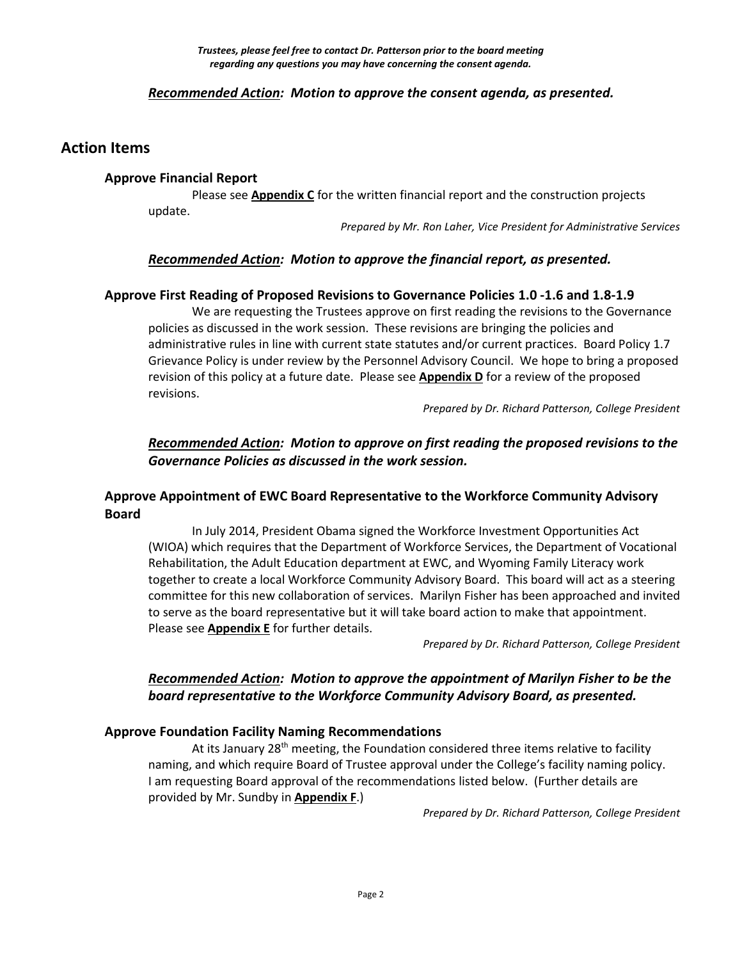# *Recommended Action: Motion to approve the consent agenda, as presented.*

# **Action Items**

### **Approve Financial Report**

Please see **Appendix C** for the written financial report and the construction projects update.

*Prepared by Mr. Ron Laher, Vice President for Administrative Services*

# *Recommended Action: Motion to approve the financial report, as presented.*

### **Approve First Reading of Proposed Revisions to Governance Policies 1.0 -1.6 and 1.8-1.9**

We are requesting the Trustees approve on first reading the revisions to the Governance policies as discussed in the work session. These revisions are bringing the policies and administrative rules in line with current state statutes and/or current practices. Board Policy 1.7 Grievance Policy is under review by the Personnel Advisory Council. We hope to bring a proposed revision of this policy at a future date. Please see **Appendix D** for a review of the proposed revisions.

*Prepared by Dr. Richard Patterson, College President*

# *Recommended Action: Motion to approve on first reading the proposed revisions to the Governance Policies as discussed in the work session.*

# **Approve Appointment of EWC Board Representative to the Workforce Community Advisory Board**

In July 2014, President Obama signed the Workforce Investment Opportunities Act (WIOA) which requires that the Department of Workforce Services, the Department of Vocational Rehabilitation, the Adult Education department at EWC, and Wyoming Family Literacy work together to create a local Workforce Community Advisory Board. This board will act as a steering committee for this new collaboration of services. Marilyn Fisher has been approached and invited to serve as the board representative but it will take board action to make that appointment. Please see **Appendix E** for further details.

*Prepared by Dr. Richard Patterson, College President*

# *Recommended Action: Motion to approve the appointment of Marilyn Fisher to be the board representative to the Workforce Community Advisory Board, as presented.*

### **Approve Foundation Facility Naming Recommendations**

At its January  $28<sup>th</sup>$  meeting, the Foundation considered three items relative to facility naming, and which require Board of Trustee approval under the College's facility naming policy. I am requesting Board approval of the recommendations listed below. (Further details are provided by Mr. Sundby in **Appendix F**.)

*Prepared by Dr. Richard Patterson, College President*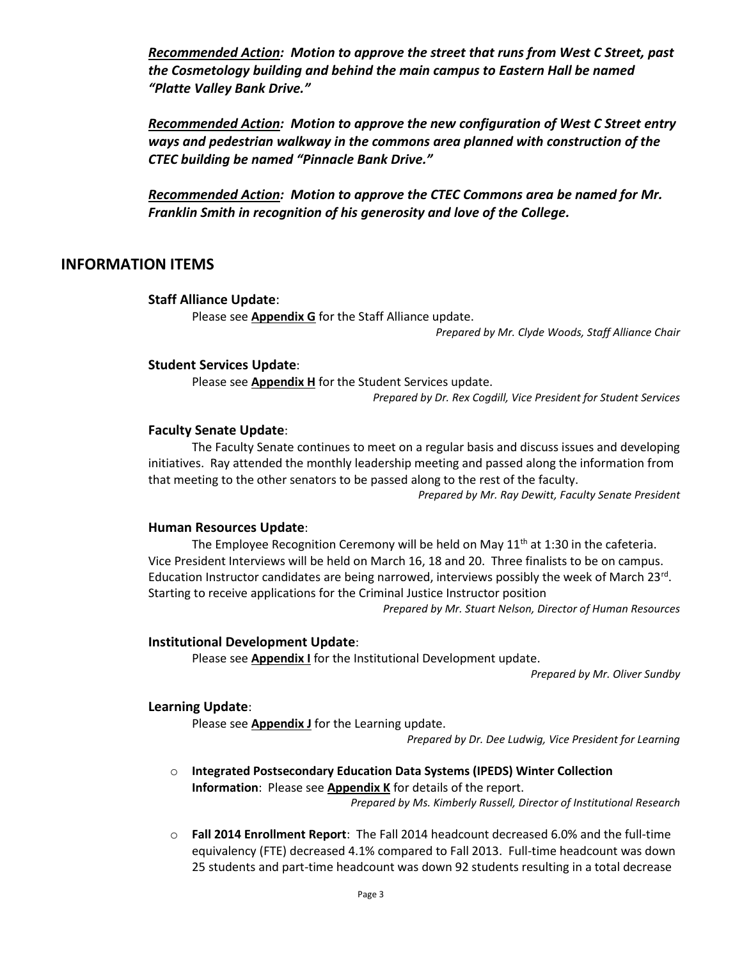*Recommended Action: Motion to approve the street that runs from West C Street, past the Cosmetology building and behind the main campus to Eastern Hall be named "Platte Valley Bank Drive."*

*Recommended Action: Motion to approve the new configuration of West C Street entry ways and pedestrian walkway in the commons area planned with construction of the CTEC building be named "Pinnacle Bank Drive."*

*Recommended Action: Motion to approve the CTEC Commons area be named for Mr. Franklin Smith in recognition of his generosity and love of the College.*

### **INFORMATION ITEMS**

### **Staff Alliance Update**:

Please see **Appendix G** for the Staff Alliance update.

*Prepared by Mr. Clyde Woods, Staff Alliance Chair*

### **Student Services Update**:

Please see **Appendix H** for the Student Services update.

*Prepared by Dr. Rex Cogdill, Vice President for Student Services*

### **Faculty Senate Update**:

The Faculty Senate continues to meet on a regular basis and discuss issues and developing initiatives. Ray attended the monthly leadership meeting and passed along the information from that meeting to the other senators to be passed along to the rest of the faculty.

*Prepared by Mr. Ray Dewitt, Faculty Senate President*

### **Human Resources Update**:

The Employee Recognition Ceremony will be held on May  $11<sup>th</sup>$  at 1:30 in the cafeteria. Vice President Interviews will be held on March 16, 18 and 20. Three finalists to be on campus. Education Instructor candidates are being narrowed, interviews possibly the week of March 23rd. Starting to receive applications for the Criminal Justice Instructor position *Prepared by Mr. Stuart Nelson, Director of Human Resources*

### **Institutional Development Update**:

Please see **Appendix I** for the Institutional Development update.

*Prepared by Mr. Oliver Sundby*

### **Learning Update**:

Please see **Appendix J** for the Learning update.

*Prepared by Dr. Dee Ludwig, Vice President for Learning*

o **Integrated Postsecondary Education Data Systems (IPEDS) Winter Collection Information**: Please see **Appendix K** for details of the report.

*Prepared by Ms. Kimberly Russell, Director of Institutional Research*

o **Fall 2014 Enrollment Report**: The Fall 2014 headcount decreased 6.0% and the full-time equivalency (FTE) decreased 4.1% compared to Fall 2013. Full-time headcount was down 25 students and part-time headcount was down 92 students resulting in a total decrease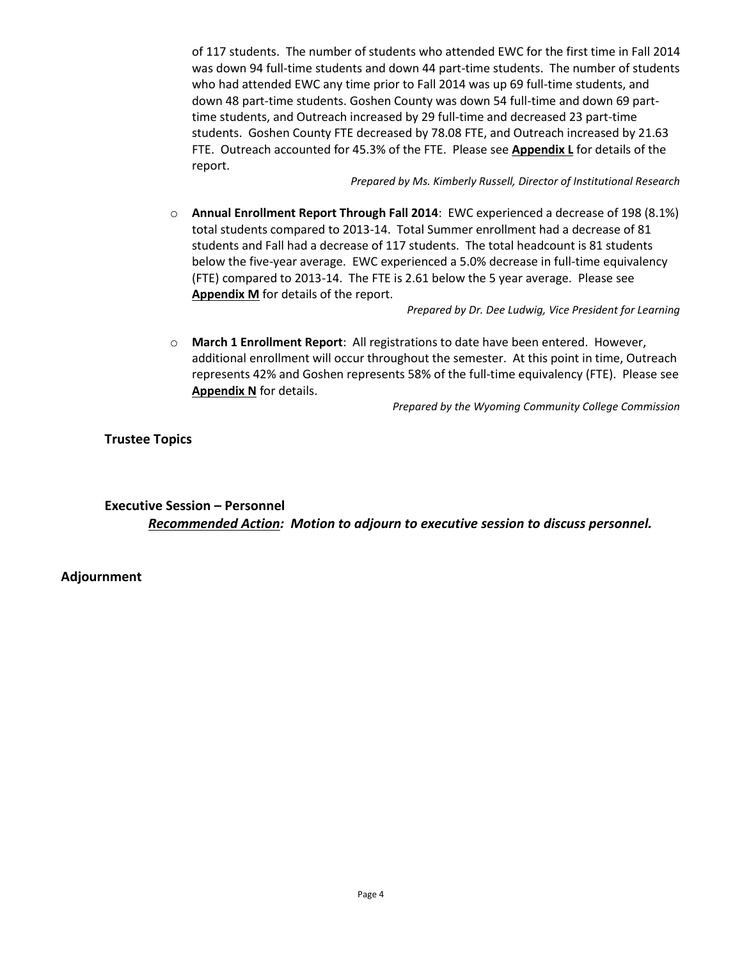of 117 students. The number of students who attended EWC for the first time in Fall 2014 was down 94 full-time students and down 44 part-time students. The number of students who had attended EWC any time prior to Fall 2014 was up 69 full-time students, and down 48 part-time students. Goshen County was down 54 full-time and down 69 parttime students, and Outreach increased by 29 full-time and decreased 23 part-time students. Goshen County FTE decreased by 78.08 FTE, and Outreach increased by 21.63 FTE. Outreach accounted for 45.3% of the FTE. Please see **Appendix L** for details of the report.

*Prepared by Ms. Kimberly Russell, Director of Institutional Research*

o **Annual Enrollment Report Through Fall 2014**: EWC experienced a decrease of 198 (8.1%) total students compared to 2013-14. Total Summer enrollment had a decrease of 81 students and Fall had a decrease of 117 students. The total headcount is 81 students below the five-year average. EWC experienced a 5.0% decrease in full-time equivalency (FTE) compared to 2013-14. The FTE is 2.61 below the 5 year average. Please see **Appendix M** for details of the report.

*Prepared by Dr. Dee Ludwig, Vice President for Learning*

o **March 1 Enrollment Report**: All registrations to date have been entered. However, additional enrollment will occur throughout the semester. At this point in time, Outreach represents 42% and Goshen represents 58% of the full-time equivalency (FTE). Please see **Appendix N** for details.

*Prepared by the Wyoming Community College Commission*

**Trustee Topics**

**Executive Session – Personnel** *Recommended Action: Motion to adjourn to executive session to discuss personnel.*

**Adjournment**